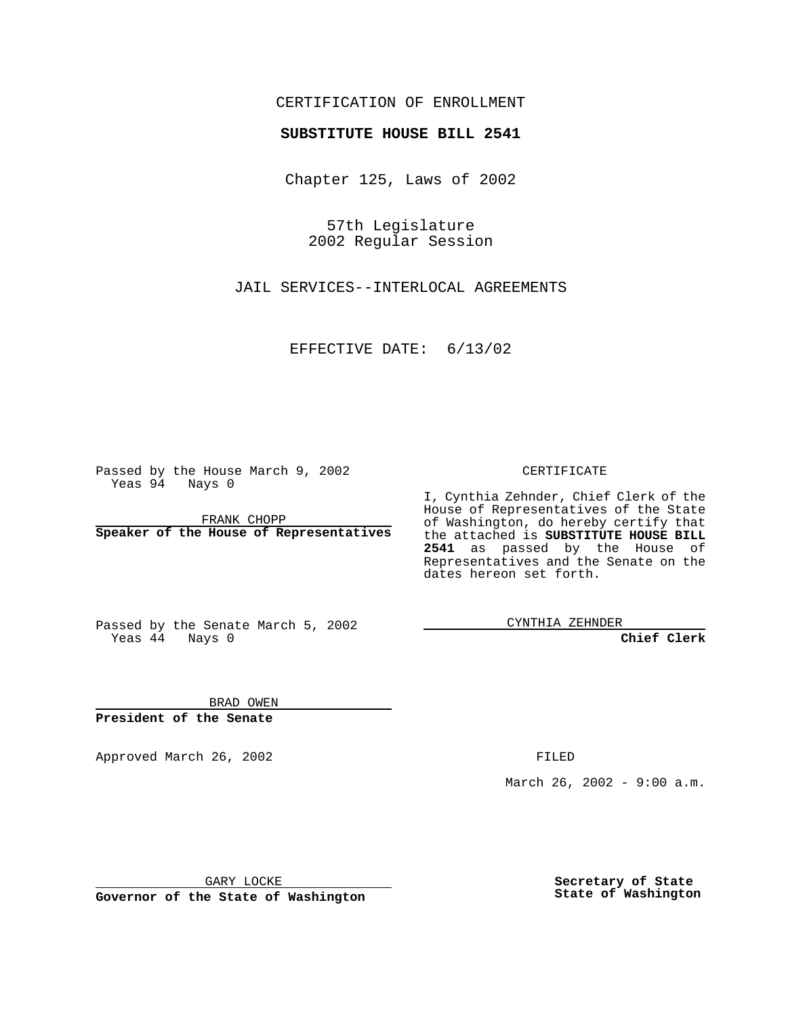### CERTIFICATION OF ENROLLMENT

# **SUBSTITUTE HOUSE BILL 2541**

Chapter 125, Laws of 2002

57th Legislature 2002 Regular Session

JAIL SERVICES--INTERLOCAL AGREEMENTS

EFFECTIVE DATE: 6/13/02

Passed by the House March 9, 2002 Yeas 94 Nays 0

FRANK CHOPP **Speaker of the House of Representatives** CERTIFICATE

I, Cynthia Zehnder, Chief Clerk of the House of Representatives of the State of Washington, do hereby certify that the attached is **SUBSTITUTE HOUSE BILL 2541** as passed by the House of Representatives and the Senate on the dates hereon set forth.

Passed by the Senate March 5, 2002 Yeas 44 Nays 0

CYNTHIA ZEHNDER

**Chief Clerk**

BRAD OWEN **President of the Senate**

Approved March 26, 2002 **FILED** 

March 26, 2002 - 9:00 a.m.

GARY LOCKE

**Governor of the State of Washington**

**Secretary of State State of Washington**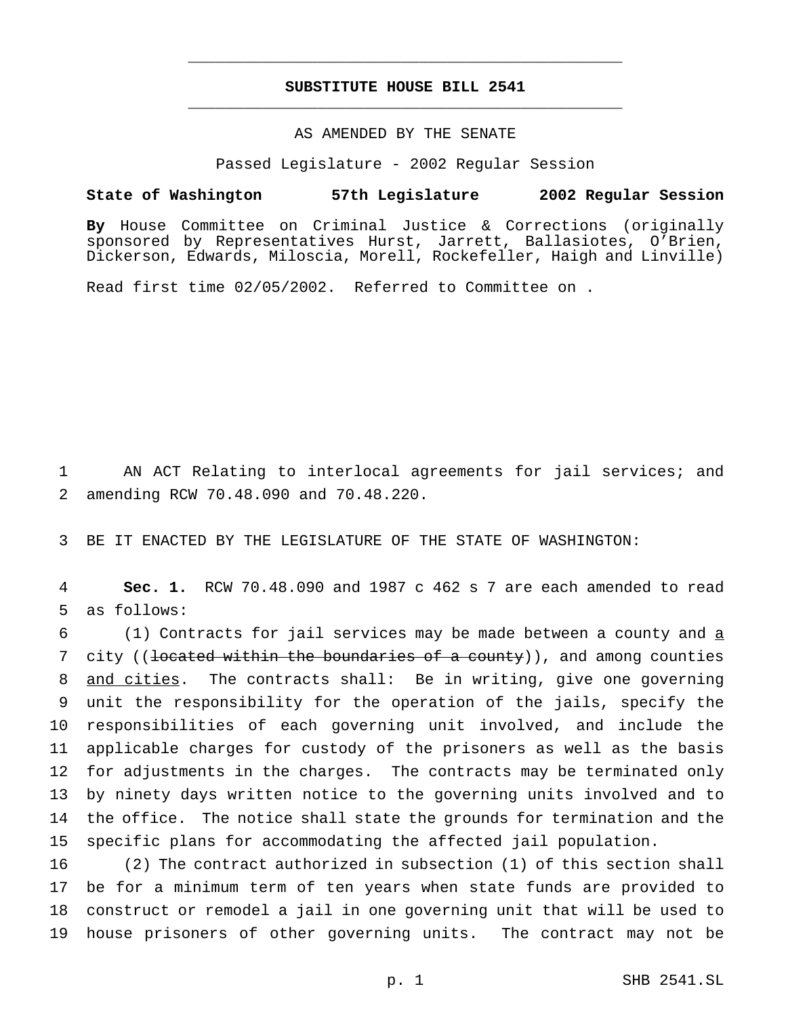## **SUBSTITUTE HOUSE BILL 2541** \_\_\_\_\_\_\_\_\_\_\_\_\_\_\_\_\_\_\_\_\_\_\_\_\_\_\_\_\_\_\_\_\_\_\_\_\_\_\_\_\_\_\_\_\_\_\_

\_\_\_\_\_\_\_\_\_\_\_\_\_\_\_\_\_\_\_\_\_\_\_\_\_\_\_\_\_\_\_\_\_\_\_\_\_\_\_\_\_\_\_\_\_\_\_

### AS AMENDED BY THE SENATE

Passed Legislature - 2002 Regular Session

#### **State of Washington 57th Legislature 2002 Regular Session**

**By** House Committee on Criminal Justice & Corrections (originally sponsored by Representatives Hurst, Jarrett, Ballasiotes, O'Brien, Dickerson, Edwards, Miloscia, Morell, Rockefeller, Haigh and Linville)

Read first time 02/05/2002. Referred to Committee on .

1 AN ACT Relating to interlocal agreements for jail services; and 2 amending RCW 70.48.090 and 70.48.220.

3 BE IT ENACTED BY THE LEGISLATURE OF THE STATE OF WASHINGTON:

4 **Sec. 1.** RCW 70.48.090 and 1987 c 462 s 7 are each amended to read 5 as follows:

 (1) Contracts for jail services may be made between a county and  $\frac{1}{2}$ 7 city ((<del>located within the boundaries of a county</del>)), and among counties and cities. The contracts shall: Be in writing, give one governing unit the responsibility for the operation of the jails, specify the responsibilities of each governing unit involved, and include the applicable charges for custody of the prisoners as well as the basis for adjustments in the charges. The contracts may be terminated only by ninety days written notice to the governing units involved and to the office. The notice shall state the grounds for termination and the specific plans for accommodating the affected jail population.

 (2) The contract authorized in subsection (1) of this section shall be for a minimum term of ten years when state funds are provided to construct or remodel a jail in one governing unit that will be used to house prisoners of other governing units. The contract may not be